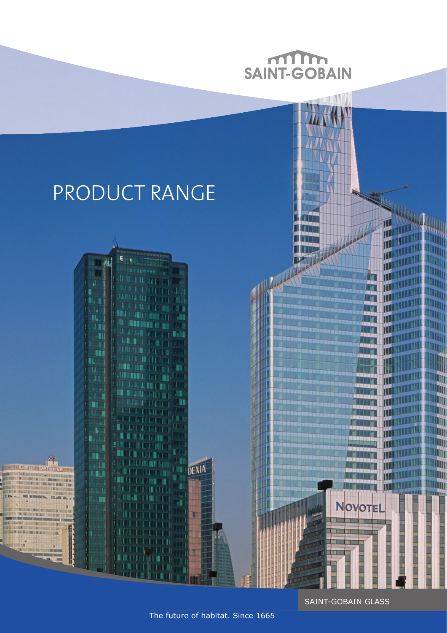

SAINT-GOBAIN GLASS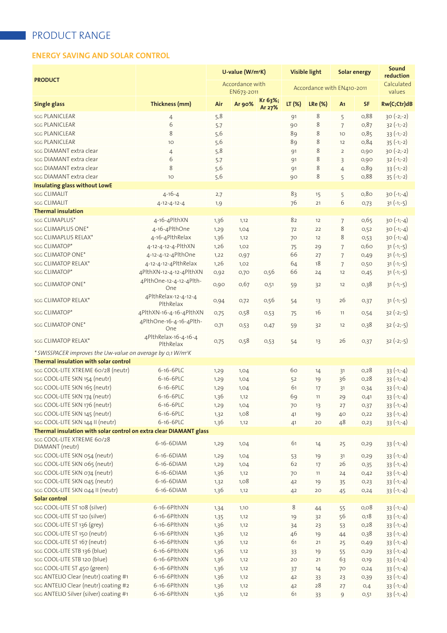### **ENERGY SAVING AND SOLAR CONTROL**

| <b>PRODUCT</b>                                                          |                                   | U-value (W/m <sup>2</sup> K)<br>Accordance with<br>EN673-2011 |        |                   | <b>Visible light</b> |                | Solar energy<br>Accordance with EN410-2011 |           | Sound<br>reduction<br>Calculated<br>values |  |
|-------------------------------------------------------------------------|-----------------------------------|---------------------------------------------------------------|--------|-------------------|----------------------|----------------|--------------------------------------------|-----------|--------------------------------------------|--|
|                                                                         |                                   |                                                               |        |                   |                      |                |                                            |           |                                            |  |
| <b>Single glass</b>                                                     | Thickness (mm)                    | Air                                                           | Ar 90% | Kr 63%;<br>Ar 27% | LT (%)               | <b>LRe (%)</b> | A <sub>1</sub>                             | <b>SF</b> | Rw(C;Ctr)dB                                |  |
| <b>SGG PLANICLEAR</b>                                                   | $\overline{4}$                    | 5,8                                                           |        |                   | 91                   | 8              | 5                                          | 0,88      | $30(-2,-2)$                                |  |
| <b>SGG PLANICLEAR</b>                                                   | 6                                 | 5.7                                                           |        |                   | 90                   | 8              | $\overline{7}$                             | 0,87      | $32(-1,-2)$                                |  |
| <b>SGG PLANICLEAR</b>                                                   | 8                                 | 5,6                                                           |        |                   | 89                   | 8              | 10                                         | 0,85      | $33(-1,-2)$                                |  |
| SGG PLANICLEAR                                                          | 10                                | 5,6                                                           |        |                   | 89                   | 8              | 12                                         | 0,84      | $35(-1,-2)$                                |  |
| sgg DIAMANT extra clear                                                 | $\overline{4}$                    | 5,8                                                           |        |                   | 91                   | 8              | $\overline{2}$                             | 0,90      | $30(-2,-2)$                                |  |
| sgg DIAMANT extra clear                                                 | 6                                 | 5.7                                                           |        |                   | 91                   | 8              | 3                                          | 0,90      | $32(-1,-2)$                                |  |
| sgg DIAMANT extra clear                                                 | 8                                 | 5,6                                                           |        |                   | 91                   | 8              | $\overline{4}$                             | 0,89      | $33(-1,-2)$                                |  |
| sgg DIAMANT extra clear                                                 | 10                                | 5,6                                                           |        |                   | 90                   | 8              | 5                                          | 0,88      | $35(-1,-2)$                                |  |
| Insulating glass without LowE                                           |                                   |                                                               |        |                   |                      |                |                                            |           |                                            |  |
| sgg CLIMALIT                                                            | $4 - 16 - 4$                      | 2,7                                                           |        |                   | 83                   | 15             | 5                                          | 0,80      | $30(-1,-4)$                                |  |
| <b>SGG CLIMALIT</b>                                                     | $4 - 12 - 4 - 12 - 4$             | 1,9                                                           |        |                   | 76                   | 21             | 6                                          | 0,73      | $31 (-1,-5)$                               |  |
| <b>Thermal insulation</b>                                               |                                   |                                                               |        |                   |                      |                |                                            |           |                                            |  |
| sgg CLIMAPLUS*                                                          | 4-16-4PlthXN                      | 1,36                                                          | 1,12   |                   | 82                   | 12             | 7                                          | 0,65      | $30(-1,-4)$                                |  |
| sgg CLIMAPLUS ONE*                                                      | 4-16-4PlthOne                     | 1,29                                                          | 1,04   |                   | 72                   | 22             | 8                                          | 0,52      | $30(-1,-4)$                                |  |
| sgg CLIMAPLUS RELAX*                                                    | 4-16-4PlthRelax                   | 1,36                                                          | 1,12   |                   | 70                   | 12             | 8                                          | 0,53      | $30(-1,-4)$                                |  |
| sgg CLIMATOP*                                                           | 4-12-4-12-4-PlthXN                | 1,26                                                          | 1,02   |                   | 75                   | 29             | 7                                          | 0,60      | $31(-1,-5)$                                |  |
| sgg CLIMATOP ONE*                                                       | 4-12-4-12-4PlthOne                | 1,22                                                          | 0,97   |                   | 66                   | 27             | $\overline{7}$                             | 0,49      | $31(-1,-5)$                                |  |
| sgg CLIMATOP RELAX*                                                     | 4-12-4-12-4PlthRelax              | 1,26                                                          | 1,02   |                   | 64                   | 18             | $\overline{7}$                             | 0,50      | $31 (-1,-5)$                               |  |
| sgg CLIMATOP*                                                           | 4PlthXN-12-4-12-4PlthXN           | 0,92                                                          | 0,70   | 0,56              | 66                   | 24             | 12                                         | 0,45      | $31(-1,-5)$                                |  |
| sgg CLIMATOP ONE*                                                       | 4PlthOne-12-4-12-4Plth-<br>One    | 0,90                                                          | 0,67   | 0,51              | 59                   | 32             | 12                                         | 0,38      | $31(-1,-5)$                                |  |
| sgg CLIMATOP RELAX*                                                     | 4PlthRelax-12-4-12-4<br>PlthRelax | 0,94                                                          | 0,72   | 0,56              | 54                   | 13             | 26                                         | O,37      | $31(-1,-5)$                                |  |
| sgg CLIMATOP*                                                           | 4PlthXN-16-4-16-4PlthXN           | 0,75                                                          | 0,58   | O,53              | 75                   | 16             | 11                                         | 0,54      | $32 (-2,-5)$                               |  |
| sgg CLIMATOP ONE*                                                       | 4PlthOne-16-4-16-4Plth-<br>One    | O,71                                                          | 0,53   | 0,47              | 59                   | 32             | 12                                         | 0,38      | $32(-2,-5)$                                |  |
| sgg CLIMATOP RELAX*                                                     | 4PlthRelax-16-4-16-4<br>PlthRelax | 0,75                                                          | 0,58   | O,53              | 54                   | 13             | 26                                         | 0,37      | $32(-2,-5)$                                |  |
| * SWISSPACER improves the Uw-value on average by 0,1 W/m <sup>2</sup> K |                                   |                                                               |        |                   |                      |                |                                            |           |                                            |  |
| Thermal insulation with solar control                                   |                                   |                                                               |        |                   |                      |                |                                            |           |                                            |  |
| saa COOL-LITE XTREME 60/28 (neutr)                                      | 6-16-6PLC                         | 1,29                                                          | 1,04   |                   | 60                   | 14             | 31                                         | 0,28      | $33(-1,-4)$                                |  |
| saa COOL-LITE SKN 154 (neutr)                                           | 6-16-6PLC                         | 1,29                                                          | 1,04   |                   | 52                   | 19             | 36                                         | 0,28      | $33 (-1,-4)$                               |  |
| sgg COOL-LITE SKN 165 (neutr)                                           | 6-16-6PLC                         | 1,29                                                          | 1,04   |                   | 61                   | 17             | 31                                         | 0,34      | $33(-1,-4)$                                |  |
| saa COOL-LITE SKN 174 (neutr)                                           | 6-16-6PLC                         | 1,36                                                          | 1,12   |                   | 69                   | 11             | 29                                         | O,41      | $33 (-1,-4)$                               |  |
| sgg COOL-LITE SKN 176 (neutr)                                           | 6-16-6PLC                         | 1,29                                                          | 1,04   |                   | 70                   | 13             | 27                                         | 0,37      | $33 (-1,-4)$                               |  |
| saa COOL-LITE SKN 145 (neutr)                                           | 6-16-6PLC                         | 1,32                                                          | 1,08   |                   | 41                   | 19             | 40                                         | O, 22     | $33(-1,-4)$                                |  |
| sgg COOL-LITE SKN 144 II (neutr)                                        | 6-16-6PLC                         | 1,36                                                          | 1,12   |                   | 41                   | 20             | 48                                         | 0,23      | $33(-1,-4)$                                |  |
| Thermal insulation with solar control on extra clear DIAMANT glass      |                                   |                                                               |        |                   |                      |                |                                            |           |                                            |  |
| sgg COOL-LITE XTREME 60/28<br>DIAMANT (neutr)                           | 6-16-6DIAM                        | 1,29                                                          | 1,04   |                   | 61                   | 14             | 25                                         | 0, 29     | $33 (-1,-4)$                               |  |
| saa COOL-LITE SKN 054 (neutr)                                           | 6-16-6DIAM                        | 1,29                                                          | 1,04   |                   | 53                   | 19             | 31                                         | 0,29      | $33(-1,-4)$                                |  |
| saa COOL-LITE SKN 065 (neutr)                                           | 6-16-6DIAM                        | 1,29                                                          | 1,04   |                   | 62                   | 17             | 26                                         | 0,35      | $33 (-1,-4)$                               |  |
| saa COOL-LITE SKN 074 (neutr)                                           | 6-16-6DIAM                        | 1,36                                                          | 1,12   |                   | 70                   | 11             | 24                                         | 0,42      | $33 (-1,-4)$                               |  |
| saa COOL-LITE SKN 045 (neutr)                                           | 6-16-6DIAM                        | 1,32                                                          | 1,08   |                   | 42                   | 19             | 35                                         | O,23      | $33(-1,-4)$                                |  |
| saa COOL-LITE SKN 044 II (neutr)                                        | 6-16-6DIAM                        | 1,36                                                          | 1,12   |                   | 42                   | 20             | 45                                         | 0,24      | $33(-1,-4)$                                |  |
| Solar control                                                           |                                   |                                                               |        |                   |                      |                |                                            |           |                                            |  |
| saa COOL-LITE ST 108 (silver)                                           | 6-16-6PlthXN                      | 1,34                                                          | 1,10   |                   | 8                    | 44             | 55                                         | 0,08      | $33(-1,-4)$                                |  |
| sgg COOL-LITE ST 120 (silver)                                           | 6-16-6PlthXN                      | 1,35                                                          | 1,12   |                   | 19                   | 32             | 56                                         | 0,18      | $33 (-1,-4)$                               |  |
| sgg COOL-LITE ST 136 (grey)                                             | 6-16-6PlthXN                      | 1,36                                                          | 1,12   |                   | 34                   | 23             | 53                                         | 0,28      | $33(-1,-4)$                                |  |
| saa COOL-LITE ST 150 (neutr)                                            | 6-16-6PlthXN                      | 1,36                                                          | 1,12   |                   | 46                   | 19             | 44                                         | 0,38      | $33(-1,-4)$                                |  |
| sgg COOL-LITE ST 167 (neutr)                                            | 6-16-6PlthXN                      | 1,36                                                          | 1,12   |                   | 61                   | 21             | 25                                         | 0,49      | $33(-1,-4)$                                |  |
| saa COOL-LITE STB 136 (blue)                                            | 6-16-6PlthXN                      | 1,36                                                          | 1,12   |                   | 33                   | 19             | 55                                         | 0, 29     | $33 (-1,-4)$                               |  |
| saa COOL-LITE STB 120 (blue)                                            | 6-16-6PlthXN                      | 1,36                                                          | 1,12   |                   | 20                   | 21             | 63                                         | O,19      | $33(-1,-4)$                                |  |
| saa COOL-LITE ST 450 (green)                                            | 6-16-6PlthXN                      | 1,36                                                          | 1,12   |                   | 37                   | 14             | 70                                         | 0,24      | $33(-1,-4)$                                |  |
| sgg ANTELIO Clear (neutr) coating #1                                    | 6-16-6PlthXN                      | 1,36                                                          | 1,12   |                   | 42                   | 33             | 23                                         | 0,39      | $33(-1,-4)$                                |  |
| sgg ANTELIO Clear (neutr) coating #2                                    | 6-16-6PlthXN                      | 1,36                                                          | 1,12   |                   | 42                   | $28\,$         | 27                                         | O,4       | $33(-1,-4)$                                |  |
| sgg ANTELIO Silver (silver) coating #1                                  | 6-16-6PlthXN                      | 1,36                                                          | 1,12   |                   | 61                   | 33             | 9                                          | O,51      | $33 (-1,-4)$                               |  |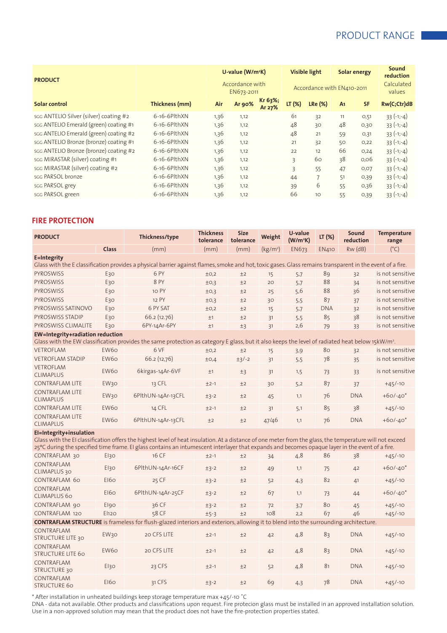| <b>PRODUCT</b>                         |                           |      | U-value $(W/m^2K)$            |                   | Visible light |                            | Solar energy   |           | Sound<br>reduction   |
|----------------------------------------|---------------------------|------|-------------------------------|-------------------|---------------|----------------------------|----------------|-----------|----------------------|
|                                        |                           |      | Accordance with<br>EN673-2011 |                   |               | Accordance with EN410-2011 |                |           | Calculated<br>values |
| Solar control                          | Thickness (mm)            | Air  | Ar 90%                        | Kr 63%;<br>Ar 27% | $LT (\%)$     | <b>LRe (%)</b>             | A <sub>1</sub> | <b>SF</b> | Rw(C;Ctr)dB          |
| sgg ANTELIO Silver (silver) coating #2 | 6-16-6PlthXN              | 1,36 | 1,12                          |                   | 61            | 32                         | 11             | O,51      | $33(-1,-4)$          |
| sgg ANTELIO Emerald (green) coating #1 | 6-16-6PlthXN              | 1,36 | 1,12                          |                   | 48            | 30                         | 48             | 0,30      | $33(-1,-4)$          |
| sgg ANTELIO Emerald (green) coating #2 | 6-16-6PlthXN              | 1,36 | 1,12                          |                   | 48            | 21                         | 59             | O,31      | $33(-1,-4)$          |
| sgg ANTELIO Bronze (bronze) coating #1 | 6-16-6PlthXN              | 1,36 | 1,12                          |                   | 21            | 32                         | 50             | O,22      | $33(-1,-4)$          |
| sgg ANTELIO Bronze (bronze) coating #2 | $6-16-6$ Plth $XN$        | 1,36 | 1,12                          |                   | 22            | 12                         | 66             | O, 24     | $33(-1,-4)$          |
| sgg MIRASTAR (silver) coating #1       | $6-16-6$ P $\text{th}$ XN | 1,36 | 1,12                          |                   | 3             | 60                         | 38             | 0,06      | $33(-1,-4)$          |
| sgg MIRASTAR (silver) coating #2       | 6-16-6PlthXN              | 1,36 | 1,12                          |                   | 3             | 55                         | 47             | O, O7     | $33(-1,-4)$          |
| sgg PARSOL bronze                      | $6-16-6$ Plth $XN$        | 1,36 | 1,12                          |                   | 44            | $\overline{7}$             | 51             | 0,39      | $33(-1,-4)$          |
| sgg PARSOL grey                        | 6-16-6PlthXN              | 1,36 | 1,12                          |                   | 39            | 6                          | 55             | 0,36      | $33(-1,-4)$          |
| sgg PARSOL green                       | $6-16-6$ Plth $XN$        | 1,36 | 1,12                          |                   | 66            | 10                         | 55             | 0,39      | $33(-1,-4)$          |

### **FIRE PROTECTION**

| <b>PRODUCT</b>                             |                  | Thickness/type                                                                                                                                                                                                                                                                                              | <b>Thickness</b><br>tolerance | <b>Size</b><br>tolerance | Weight               | U-value<br>(W/m <sup>2</sup> K) | LT (%)       | Sound<br>reduction | <b>Temperature</b><br>range |
|--------------------------------------------|------------------|-------------------------------------------------------------------------------------------------------------------------------------------------------------------------------------------------------------------------------------------------------------------------------------------------------------|-------------------------------|--------------------------|----------------------|---------------------------------|--------------|--------------------|-----------------------------|
|                                            | Class            | (mm)                                                                                                                                                                                                                                                                                                        | (mm)                          | (mm)                     | (kg/m <sup>2</sup> ) | <b>EN673</b>                    | <b>EN410</b> | $Rw$ ( $dB$ )      | $(^{\circ}C)$               |
| E=Integrity                                |                  |                                                                                                                                                                                                                                                                                                             |                               |                          |                      |                                 |              |                    |                             |
|                                            |                  | Glass with the E classification provides a physical barrier against flames, smoke and hot, toxic gases. Glass remains transparent in the event of a fire.                                                                                                                                                   |                               |                          |                      |                                 |              |                    |                             |
| <b>PYROSWISS</b>                           | E <sub>3</sub> o | 6 PY                                                                                                                                                                                                                                                                                                        | ±0,2                          | ±2                       | 15                   | 5.7                             | 89           | 32                 | is not sensitive            |
| <b>PYROSWISS</b>                           | E30              | 8 PY                                                                                                                                                                                                                                                                                                        | ±0,3                          | ±2                       | 20                   | 5.7                             | 88           | 34                 | is not sensitive            |
| <b>PYROSWISS</b>                           | E30              | 10 PY                                                                                                                                                                                                                                                                                                       | ±0,3                          | ±2                       | 25                   | 5,6                             | 88           | 36                 | is not sensitive            |
| <b>PYROSWISS</b>                           | E30              | 12 PY                                                                                                                                                                                                                                                                                                       | ±0,3                          | ±2                       | 30                   | 5,5                             | 87           | 37                 | is not sensitive            |
| PYROSWISS SATINOVO                         | E30              | 6 PY SAT                                                                                                                                                                                                                                                                                                    | ±0,2                          | ±2                       | 15                   | 5,7                             | <b>DNA</b>   | 32                 | is not sensitive            |
| PYROSWISS STADIP                           | E30              | 66.2(12.76)                                                                                                                                                                                                                                                                                                 | ±1                            | ±2                       | 31                   | 5,5                             | 85           | 38                 | is not sensitive            |
| PYROSWISS CLIMALITE                        | E30              | 6PY-14Ar-6PY                                                                                                                                                                                                                                                                                                | ±1                            | ±3                       | 31                   | 2,6                             | 79           | 33                 | is not sensitive            |
| <b>EW=Integrity+radiation reduction</b>    |                  |                                                                                                                                                                                                                                                                                                             |                               |                          |                      |                                 |              |                    |                             |
|                                            |                  | Glass with the EW classification provides the same protection as category E glass, but it also keeps the level of radiated heat below 15kW/m <sup>2</sup> .                                                                                                                                                 |                               |                          |                      |                                 |              |                    |                             |
| <b>VETROFLAM</b>                           | EW <sub>60</sub> | 6 VF                                                                                                                                                                                                                                                                                                        | ±0,2                          | ±2                       | 15                   | 3,9                             | 80           | 32                 | is not sensitive            |
| <b>VETROFLAM STADIP</b>                    | EW60             | 66.2(12,76)                                                                                                                                                                                                                                                                                                 | ±0,4                          | $±3/-2$                  | 31                   | 5,5                             | 78           | 35                 | is not sensitive            |
| <b>VETROFLAM</b><br><b>CLIMAPLUS</b>       | EW60             | 6kirgas-14Ar-6VF                                                                                                                                                                                                                                                                                            | ±1                            | ±3                       | 31                   | 1,5                             | 73           | 33                 | is not sensitive            |
| <b>CONTRAFLAM LITE</b>                     | EW30             | 13 CFL                                                                                                                                                                                                                                                                                                      | $±2-1$                        | ±2                       | 30                   | 5,2                             | 87           | 37                 | $+45/ -10$                  |
| <b>CONTRAFLAM LITE</b><br><b>CLIMAPLUS</b> | EW <sub>30</sub> | 6PlthUN-14Ar-13CFL                                                                                                                                                                                                                                                                                          | $±3-2$                        | ±2                       | 45                   | 1,1                             | 76           | <b>DNA</b>         | $+60/-40*$                  |
| CONTRAFLAM LITE                            | EW60             | 14 CFL                                                                                                                                                                                                                                                                                                      | $±2-1$                        | ±2                       | 31                   | 5,1                             | 85           | 38                 | $+45/ -10$                  |
| <b>CONTRAFLAM LITE</b><br><b>CLIMAPLUS</b> | EW <sub>60</sub> | 6PlthUN-14Ar-13CFL                                                                                                                                                                                                                                                                                          | ±2                            | ±2                       | 47/46                | 1,1                             | 76           | <b>DNA</b>         | $+60/-40*$                  |
| El=Integrity+insulation                    |                  |                                                                                                                                                                                                                                                                                                             |                               |                          |                      |                                 |              |                    |                             |
|                                            |                  | Glass with the EI classification offers the highest level of heat insulation. At a distance of one meter from the glass, the temperature will not exceed<br>25°C during the specified time frame. EI glass contains an intumescent interlayer that expands and becomes opaque layer in the event of a fire. |                               |                          |                      |                                 |              |                    |                             |
| CONTRAFLAM 30                              | El30             | 16 CF                                                                                                                                                                                                                                                                                                       | $±2-1$                        | ±2                       | 34                   | 4,8                             | 86           | 38                 | $+45/-10$                   |
| CONTRAFLAM<br><b>CLIMAPLUS 30</b>          | El30             | 6PlthUN-14Ar-16CF                                                                                                                                                                                                                                                                                           | $±3-2$                        | ±2                       | 49                   | 1,1                             | 75           | 42                 | $+60/-40*$                  |
| CONTRAFLAM 60                              | <b>EI60</b>      | 25 CF                                                                                                                                                                                                                                                                                                       | $±3-2$                        | ±2                       | 52                   | 4,3                             | 82           | 41                 | $+45/-10$                   |
| CONTRAFLAM<br><b>CLIMAPLUS 60</b>          | <b>EI60</b>      | 6PlthUN-14Ar-25CF                                                                                                                                                                                                                                                                                           | $±3-2$                        | $+2$                     | 67                   | 1,1                             | 73           | 44                 | $+60/-40*$                  |
| CONTRAFLAM 90                              | Elgo             | 36 CF                                                                                                                                                                                                                                                                                                       | $±3-2$                        | ±2                       | 72                   | 3,7                             | 80           | 45                 | $+45/ -10$                  |
| CONTRAFLAM 120                             | <b>El120</b>     | 58 CF                                                                                                                                                                                                                                                                                                       | $±5-3$                        | ±2                       | 108                  | 2,2                             | 67           | 46                 | $+45/ -10$                  |
|                                            |                  | <b>CONTRAFLAM STRUCTURE</b> is frameless for flush-glazed interiors and exteriors, allowing it to blend into the surrounding architecture.                                                                                                                                                                  |                               |                          |                      |                                 |              |                    |                             |
| CONTRAFLAM<br><b>STRUCTURE LITE 30</b>     | EW30             | 20 CFS LITE                                                                                                                                                                                                                                                                                                 | $±2-1$                        | ±2                       | 42                   | 4,8                             | 83           | <b>DNA</b>         | $+45/-10$                   |
| CONTRAFLAM<br><b>STRUCTURE LITE 60</b>     | EW <sub>60</sub> | 20 CFS LITE                                                                                                                                                                                                                                                                                                 | $+2-1$                        | ±2                       | 42                   | 4,8                             | 83           | <b>DNA</b>         | $+45/-10$                   |
| <b>CONTRAFLAM</b><br><b>STRUCTURE 30</b>   | El30             | 23 CFS                                                                                                                                                                                                                                                                                                      | $±2-1$                        | ±2                       | 52                   | 4,8                             | 81           | <b>DNA</b>         | $+45/-10$                   |
| CONTRAFLAM<br><b>STRUCTURE 60</b>          | <b>EI60</b>      | 31 CFS                                                                                                                                                                                                                                                                                                      | $±3-2$                        | $+2$                     | 69                   | 4,3                             | 78           | <b>DNA</b>         | $+45/ -10$                  |

\* After installation in unheated buildings keep storage temperature max +45/-10 ˚C

DNA - data not available. Other products and classifications upon request. Fire protecion glass must be installed in an approved installation solution. Use in a non-approved solution may mean that the product does not have the fire-protection properties stated.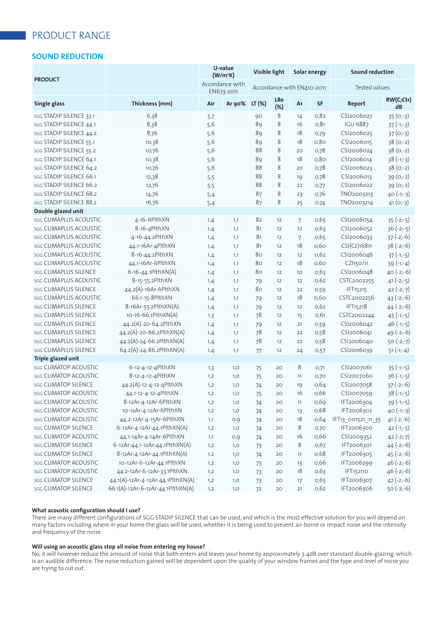### **SOUND REDUCTION**

| <b>PRODUCT</b>          |                                   |      | U-value<br>Visible light<br>(W/m <sup>2</sup> K) |                            |                   | Solar energy   |      | <b>Sound reduction</b> |                 |  |
|-------------------------|-----------------------------------|------|--------------------------------------------------|----------------------------|-------------------|----------------|------|------------------------|-----------------|--|
|                         |                                   |      | Accordance with<br>EN673-2011                    | Accordance with EN410-2011 |                   |                |      |                        | Tested values   |  |
| Single glass            | Thickness (mm)                    | Air  | Ar 90%                                           | LT (%)                     | <b>LRe</b><br>(%) | A <sub>1</sub> | SF   | <b>Report</b>          | RW(C;Ctr)<br>dB |  |
| SGG STADIP SILENCE 33.1 | 6,38                              | 5.7  |                                                  | 90                         | 8                 | 14             | 0,82 | CSI2006027             | $35(0,-3)$      |  |
| SGG STADIP SILENCE 44.1 | 8,38                              | 5,6  |                                                  | 89                         | 8                 | 16             | 0,81 | <b>IGU 6887</b>        | $37(-1,-3)$     |  |
| sgg STADIP SILENCE 44.2 | 8,76                              | 5,6  |                                                  | 89                         | 8                 | 18             | 0,79 | CSI2006025             | $37(0,-3)$      |  |
| sgg STADIP SILENCE 55.1 | 10,38                             | 5,6  |                                                  | 89                         | 8                 | 18             | 0,80 | CSI2006015             | $38(0,-2)$      |  |
| sgg STADIP SILENCE 55.2 | 10,76                             | 5,6  |                                                  | 88                         | 8                 | 20             | 0,78 | CSI2006024             | $38(0;-2)$      |  |
| sgg STADIP SILENCE 64.1 | 10,38                             | 5, 6 |                                                  | 89                         | 8                 | 18             | 0,80 | CSI2006014             | $38(-1,-3)$     |  |
| sgg STADIP SILENCE 64.2 | 10,76                             | 5, 6 |                                                  | 88                         | 8                 | 20             | 0,78 | CSI2006023             | $38(0,-2)$      |  |
| sgg STADIP SILENCE 66.1 | 12,38                             | 5,5  |                                                  | 88                         | 8                 | 19             | 0,78 | CSI2006013             | $39(0,-2)$      |  |
| sgg STADIP SILENCE 66.2 | 12,76                             | 5,5  |                                                  | 88                         | 8                 | 22             | 0,77 | CSI2006022             | $39(0,-2)$      |  |
| sgg STADIP SILENCE 68.2 | 14,76                             | 5,4  |                                                  | 87                         | 8                 | 23             | 0,76 | TNO2003213             | $40(-1,-3)$     |  |
| sgg STADIP SILENCE 88.2 | 16,76                             | 5,4  |                                                  | 87                         | 8                 | 25             | 0,74 | TNO2003214             | $41(0,-3)$      |  |
| Double glazed unit      |                                   |      |                                                  |                            |                   |                |      |                        |                 |  |
| sgg CLIMAPLUS ACOUSTIC  | 4-16-6PlthXN                      | 1,4  | 1,1                                              | 82                         | 12                | $\overline{7}$ | 0,65 | CSI2006054             | $35(-2,-5)$     |  |
| sgg CLIMAPLUS ACOUSTIC  | 8-16-4PlthXN                      | 1,4  | 1,1                                              | 81                         | 12                | 12             | 0,63 | CSI2006052             | $36(-2,-5)$     |  |
| sgg CLIMAPLUS ACOUSTIC  | 4-16-44.2PlthXN                   | 1,4  | 1,1                                              | 81                         | 12                | $\overline{7}$ | 0,65 | CSI2006033             | $37 (-2,-6)$    |  |
| sgg CLIMAPLUS ACOUSTIC  | 44.1-16Ar-4PlthXN                 | 1,4  | 1,1                                              | 81                         | 12                | 18             | 0,60 | CSI(Cz)16811           | $38(-2,-6)$     |  |
| sgg CLIMAPLUS ACOUSTIC  | 8-16-44.2PlthXN                   | 1,4  | 1,1                                              | 80                         | 12                | 12             | 0,62 | CSI2006046             | $37(-1,-5)$     |  |
| sgg CLIMAPLUS ACOUSTIC  | 44.1-16Ar-6PlthXN                 | 1,4  | 1,1                                              | 80                         | 12                | 18             | 0,60 | CZI150/11              | $39(-1,-4)$     |  |
| sgg CLIMAPLUS SILENCE   | 6-16-44.1PlthXN(A)                | 1,4  | 1,1                                              | 80                         | 12                | 10             | 0,63 | CSI2006048             | $40 (-2,-6)$    |  |
| sgg CLIMAPLUS ACOUSTIC  | 8-15-55.2PlthXN                   | 1,4  | 1,1                                              | 79                         | 12                | 12             | 0,62 | CSTC2002255            | $41(-2,-5)$     |  |
| sgg CLIMAPLUS SILENCE   | 44.2(A)-16Ar-6PlthXN              | 1,4  | 1,1                                              | 80                         | 12                | 22             | 0,59 | IFT15215               | $42 (-2,-7)$    |  |
| sgg CLIMAPLUS ACOUSTIC  | 66.1-15-8PlthXN                   | 1,4  | 1,1                                              | 79                         | 12                | 18             | 0,60 | CSTC2002256            | $43 (-2,-6)$    |  |
| sgg CLIMAPLUS SILENCE   | 8-16Ar-55.2PlthXN(A)              | 1,4  | 1,1                                              | 79                         | 12                | 12             | 0,62 | IFT15218               | $44 (-2,-6)$    |  |
| sgg CLIMAPLUS SILENCE   | 10-16-66.1PlthXN(A)               | 1,3  | 1,1                                              | 78                         | 12                | 15             | 0,61 | CSTC2002244            | $45$ (-1;-5)    |  |
| sgg CLIMAPLUS SILENCE   | 44.2(A)-20-64.2PlthXN             | 1,4  | 1,1                                              | 79                         | 12                | 21             | 0,59 | CSI2006042             | $46(-1,-5)$     |  |
| sgg CLIMAPLUS SILENCE   | 44.2(A)-20-66.2PlthXN(A)          | 1,4  | 1,1                                              | 78                         | 12                | 22             | 0,58 | CSI2006041             | $49(-2,-6)$     |  |
| sgg CLIMAPLUS SILENCE   | 44.2(A)-24-66.2PlthXN(A)          | 1,4  | 1,1                                              | 78                         | 12                | 22             | 0,58 | CSI2006040             | $50(-2,-7)$     |  |
| sgg CLIMAPLUS SILENCE   | 64.2(A)-24-86.2PlthXN(A)          | 1,4  | 1,1                                              | 77                         | 12                | 24             | 0,57 | CSI2006039             | $51(-1,-4)$     |  |
| Triple glazed unit      |                                   |      |                                                  |                            |                   |                |      |                        |                 |  |
| sgg CLIMATOP ACOUSTIC   | 6-12-4-12-4PlthXN                 | 1,3  | 1,0                                              | 75                         | 20                | 8              | 0,71 | CSI2007061             | $35(-1,-5)$     |  |
| sgg CLIMATOP ACOUSTIC   | 8-12-4-12-4PlthXN                 | 1,2  | 1,0                                              | 75                         | 20                | 11             | 0,70 | CSI2007060             | $36(-1,-5)$     |  |
| sgg CLIMATOP SILENCE    | 44.2(A)-12-4-12-4PlthXN           | 1,2  | 1,0                                              | 74                         | 20                | 19             | 0,64 | CSI2007058             | $37(-2,-6)$     |  |
| sgg CLIMATOP ACOUSTIC   | 44.1-12-4-12-4PlthXN              | 1,2  | 1,0                                              | 75                         | 20                | 16             | 0,66 | CSI2007059             | $38(-1,-5)$     |  |
| sgg CLIMATOP ACOUSTIC   | 8-12Ar-4-12Ar-6PlthXN             | 1,2  | $1,0$                                            | 74                         | 20                | 11             | 0,69 | IFT2006304             | $39(-1,-5)$     |  |
| sgg CLIMATOP ACOUSTIC   | 10-12Ar-4-12Ar-6PlthXN            | 1,2  | 1,0                                              | 74                         | 20                | 13             | 0,68 | IFT2006302             | $40(-1,-3)$     |  |
| sgg CLIMATOP ACOUSTIC   | 44.2-12Ar-4-15Ar-6PlthXN          | 1,1  | O,9                                              | 74                         | 20                | 18             | 0,64 | IFT13_001521_11_35     | $41(-2,-6)$     |  |
| sgg CLIMATOP SILENCE    | 6-12Ar-4-12Ar-44.1PlthXN(A)       | 1,2  | 1,0                                              | 74                         | 20                | 8              | 0,70 | IFT2006300             | $42(-1,-5)$     |  |
| sgg CLIMATOP ACOUSTIC   | 44.1-14Ar-4-14Ar-6PlthXN          | 1,1  | O,9                                              | 74                         | 20                | 16             | 0,66 | CSI2009352             | $42 (-2; -7)$   |  |
| sgg CLIMATOP SILENCE    | 6-12Ar-44.1-12Ar-44.1PlthXN(A)    | 1,2  | 1,0                                              | 73                         | 20                | 8              | 0,67 | IFT2006301             | $44 (-2,-6)$    |  |
| sgg CLIMATOP SILENCE    | 8-12Ar-4-12Ar-44.1PlthXN(A)       | 1,2  | 1,0                                              | 74                         | 20                | 11             | 0,68 | IFT2006305             | $45$ (-2;-6)    |  |
| sgg CLIMATOP ACOUSTIC   | 10-12Ar-6-12Ar-44.1PlthXN         | 1,2  | 1,0                                              | 73                         | 20                | 13             | 0,66 | IFT2006299             | $46(-2,-6)$     |  |
| sgg CLIMATOP ACOUSTIC   | 44.2-12Ar-6-12Ar-33.1PlthXN       | 1,2  | 1,0                                              | 73                         | 20                | 18             | 0,63 | IFT152110              | $46$ (-2;-6)    |  |
| sgg CLIMATOP SILENCE    | 44.1(A)-12Ar-4-12Ar-44.1PlthXN(A) | 1,2  | 1,0                                              | 73                         | 20                | 17             | 0,65 | IFT2006307             | $47$ (-2;-6)    |  |
| sgg CLIMATOP SILENCE    | 66.1(A)-12Ar-6-12Ar-44.1PlthXN(A) | 1,2  | 1,0                                              | 72                         | 20                | 21             | 0,62 | IFT2006306             | $50(-2,-6)$     |  |

### **What acoustic configuration should I use?**

There are many different configurations of SGG STADIP SILENCE that can be used, and which is the most effective solution for you will depend on many factors including where in your home the glass will be used, whether it is being used to prevent air-borne or impact noise and the intensity and frequency of the noise.

### **Will using an acoustic glass stop all noise from entering my house?**

No, it will however reduce the amount of noise that both enters and leaves your home by approximately 3-4dB over standard double-glazing, which is an audible difference. The noise reduction gained will be dependent upon the quality of your window frames and the type and level of noise you are trying to cut out.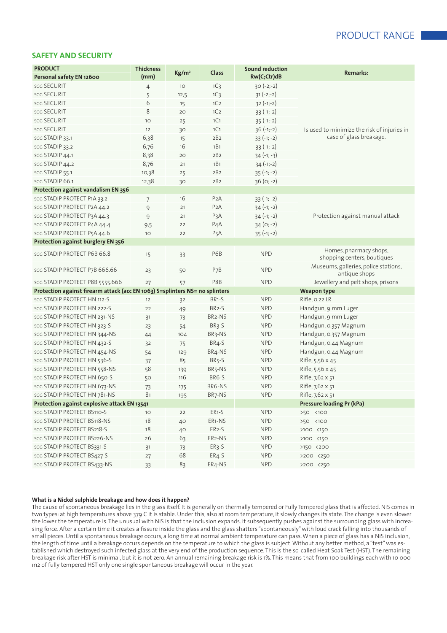### **SAFETY AND SECURITY**

| <b>PRODUCT</b>                                                               | <b>Thickness</b> |                   |                     | <b>Sound reduction</b> | <b>Remarks:</b>                                       |
|------------------------------------------------------------------------------|------------------|-------------------|---------------------|------------------------|-------------------------------------------------------|
| Personal safety EN 12600                                                     | (mm)             | Kg/m <sup>2</sup> | Class               | Rw(C;Ctr)dB            |                                                       |
| sgg SECURIT                                                                  | $\overline{4}$   | 10                | 1C <sub>3</sub>     | $30(-2,-2)$            |                                                       |
| sgg SECURIT                                                                  | 5                | 12,5              | 1C <sub>3</sub>     | $31 (-2,-2)$           |                                                       |
| <b>SGG SECURIT</b>                                                           | 6                | 15                | 1C <sub>2</sub>     | $32(-1,-2)$            |                                                       |
| sgg SECURIT                                                                  | 8                | 20                | 1C <sub>2</sub>     | $33(-1,-2)$            |                                                       |
| sgg SECURIT                                                                  | 10               | 25                | 1C1                 | $35(-1,-2)$            |                                                       |
| <b>SGG SECURIT</b>                                                           | 12               | 30                | 1C1                 | $36(-1,-2)$            | Is used to minimize the risk of injuries in           |
| sgg STADIP 33.1                                                              | 6,38             | 15                | 2B2                 | $33(-1; -2)$           | case of glass breakage.                               |
| SGG STADIP 33.2                                                              | 6,76             | 16                | 1B1                 | $33(-1,-2)$            |                                                       |
| sgg STADIP 44.1                                                              | 8,38             | 20                | 2B2                 | $34 (-1; -3)$          |                                                       |
| sgg STADIP 44.2                                                              | 8,76             | 21                | 1B1                 | $34 (-1,-2)$           |                                                       |
| sgg STADIP 55.1                                                              | 10,38            | 25                | 2B2                 | $35(-1; -2)$           |                                                       |
| sgg STADIP 66.1                                                              | 12,38            | 30                | 2B2                 | $36(0; -2)$            |                                                       |
| Protection against vandalism EN 356                                          |                  |                   |                     |                        |                                                       |
| SGG STADIP PROTECT P1A 33.2                                                  | $\overline{7}$   | 16                | P <sub>2</sub> A    | $33(-1; -2)$           |                                                       |
| SGG STADIP PROTECT P2A 44.2                                                  | 9                | 21                | P <sub>2</sub> A    | $34 (-1; -2)$          |                                                       |
| sgg STADIP PROTECT P3A 44.3                                                  | 9                | 21                | PзA                 | $34 (-1; -2)$          | Protection against manual attack                      |
| SGG STADIP PROTECT P4A 44.4                                                  | 9,5              | 22                | P <sub>4</sub> A    | $34(0; -2)$            |                                                       |
| SGG STADIP PROTECT P5A 44.6                                                  | 10               | 22                | P <sub>5</sub> A    | $35(-1; -2)$           |                                                       |
| Protection against burglery EN 356                                           |                  |                   |                     |                        |                                                       |
| sgg STADIP PROTECT P6B 66.8                                                  | 15               | 33                | P6B                 | <b>NPD</b>             | Homes, pharmacy shops,<br>shopping centers, boutiques |
| sgg STADIP PROTECT P7B 666.66                                                | 23               | 50                | P <sub>7</sub> B    | <b>NPD</b>             | Museums, galleries, police stations,<br>antique shops |
| SGG STADIP PROTECT P8B 5555.666                                              | 27               | 57                | P8B                 | <b>NPD</b>             | Jewellery and pelt shops, prisons                     |
| Protection against firearm attack (acc EN 1063) S=splinters NS= no splinters |                  |                   |                     |                        | <b>Weapon type</b>                                    |
| SGG STADIP PROTECT HN 112-S                                                  | 12               | 32                | BR <sub>1-S</sub>   | <b>NPD</b>             | Rifle, 0.22 LR                                        |
| SGG STADIP PROTECT HN 222-S                                                  | 22               | 49                | BR <sub>2</sub> -S  | <b>NPD</b>             | Handgun, 9 mm Luger                                   |
| SGG STADIP PROTECT HN 231-NS                                                 | 31               | 73                | BR <sub>2</sub> -NS | <b>NPD</b>             | Handgun, 9 mm Luger                                   |
| SGG STADIP PROTECT HN 323-S                                                  | 23               | 54                | BR <sub>3</sub> -S  | <b>NPD</b>             | Handgun, 0.357 Magnum                                 |
| SGG STADIP PROTECT HN 344-NS                                                 | 44               | 104               | BR3-NS              | <b>NPD</b>             | Handgun, 0.357 Magnum                                 |
| SGG STADIP PROTECT HN 432-S                                                  | 32               | 75                | BR4-S               | <b>NPD</b>             | Handgun, 0.44 Magnum                                  |
| SGG STADIP PROTECT HN 454-NS                                                 | 54               | 129               | BR4-NS              | <b>NPD</b>             | Handgun, 0.44 Magnum                                  |
| SGG STADIP PROTECT HN 536-S                                                  | 37               | 85                | BR <sub>5</sub> -S  | <b>NPD</b>             | Rifle, 5,56 × 45                                      |
| SGG STADIP PROTECT HN 558-NS                                                 | 58               | 139               | BR5-NS              | <b>NPD</b>             | Rifle, 5,56 × 45                                      |
| SGG STADIP PROTECT HN 650-S                                                  | 50               | 116               | BR6-S               | <b>NPD</b>             | Rifle, 7,62 x 51                                      |
| sgg STADIP PROTECT HN 673-NS                                                 | 73               | 175               | BR6-NS              | <b>NPD</b>             | Rifle, 7,62 x 51                                      |
| sgg STADIP PROTECT HN 781-NS                                                 | 81               | 195               | BR7-NS              | <b>NPD</b>             | Rifle, 7,62 x 51                                      |
| Protection against explosive attack EN 13541                                 |                  |                   |                     |                        | Pressure loading Pr (kPa)                             |
| SGG STADIP PROTECT BS110-S                                                   | 10               | 22                | ER1-S               | <b>NPD</b>             | >50 <100                                              |
| SGG STADIP PROTECT BS118-NS                                                  | 18               | 40                | ER1-NS              | <b>NPD</b>             | >50 <100                                              |
| sgg STADIP PROTECT BS218-S                                                   | 18               | 40                | ER2-S               | <b>NPD</b>             | >100 <150                                             |
| sgg STADIP PROTECT BS226-NS                                                  | 26               | 63                | ER2-NS              | <b>NPD</b>             | >100 <150                                             |
| SGG STADIP PROTECT BS331-S                                                   | 31               | 73                | ER3-S               | <b>NPD</b>             | >150 <200                                             |
| SGG STADIP PROTECT BS427-S                                                   | 27               | 68                | ER4-S               | <b>NPD</b>             | >200 <250                                             |
| sgg STADIP PROTECT BS433-NS                                                  | 33               | 83                | ER4-NS              | <b>NPD</b>             | >200 <250                                             |

#### **What is a Nickel sulphide breakage and how does it happen?**

The cause of spontaneous breakage lies in the glass itself. It is generally on thermally tempered or Fully Tempered glass that is affected. NiS comes in two types: at high temperatures above 379 C it is stable. Under this, also at room temperature, it slowly changes its state. The change is even slower the lower the temperature is. The unusual with NiS is that the inclusion expands. It subsequently pushes against the surrounding glass with increasing force. After a certain time it creates a fissure inside the glass and the glass shatters "spontaneously" with loud crack falling into thousands of small pieces. Until a spontaneous breakage occurs, a long time at normal ambient temperature can pass. When a piece of glass has a NiS inclusion, the length of time until a breakage occurs depends on the temperature to which the glass is subject. Without any better method, a "test" was established which destroyed such infected glass at the very end of the production sequence. This is the so-called Heat Soak Test (HST). The remaining breakage risk after HST is minimal, but it is not zero. An annual remaining breakage risk is 1%. This means that from 100 buildings each with 10 000 m2 of fully tempered HST only one single spontaneous breakage will occur in the year.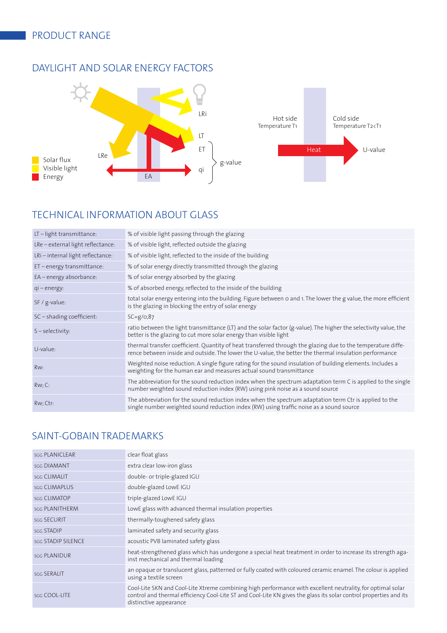# DAYLIGHT AND SOLAR ENERGY FACTORS



# TECHNICAL INFORMATION ABOUT GLASS

| LT-light transmittance:           | % of visible light passing through the glazing                                                                                                                                                                         |
|-----------------------------------|------------------------------------------------------------------------------------------------------------------------------------------------------------------------------------------------------------------------|
| LRe – external light reflectance: | % of visible light, reflected outside the glazing                                                                                                                                                                      |
| LRi - internal light reflectance: | % of visible light, reflected to the inside of the building                                                                                                                                                            |
| ET – energy transmittance:        | % of solar energy directly transmitted through the glazing                                                                                                                                                             |
| EA - energy absorbance:           | % of solar energy absorbed by the glazing                                                                                                                                                                              |
| $qi$ – energy:                    | % of absorbed energy, reflected to the inside of the building                                                                                                                                                          |
| $SF / g-value$ :                  | total solar energy entering into the building. Figure between 0 and 1. The lower the g value, the more efficient<br>is the glazing in blocking the entry of solar energy                                               |
| $SC$ – shading coefficient:       | $SC = g/O, 87$                                                                                                                                                                                                         |
| $S - selectivity:$                | ratio between the light transmittance (LT) and the solar factor (g-value). The higher the selectivity value, the<br>better is the glazing to cut more solar energy than visible light                                  |
| U-value:                          | thermal transfer coefficient. Quantity of heat transferred through the glazing due to the temperature diffe-<br>rence between inside and outside. The lower the U-value, the better the thermal insulation performance |
| Rw:                               | Weighted noise reduction. A single figure rating for the sound insulation of building elements. Includes a<br>weighting for the human ear and measures actual sound transmittance                                      |
| Rw; C:                            | The abbreviation for the sound reduction index when the spectrum adaptation term C is applied to the single<br>number weighted sound reduction index (RW) using pink noise as a sound source                           |
| Rw; Ctr:                          | The abbreviation for the sound reduction index when the spectrum adaptation term Ctr is applied to the<br>single number weighted sound reduction index (RW) using traffic noise as a sound source                      |

# SAINT-GOBAIN TRADEMARKS

| <b>SGG PLANICLEAR</b> | clear float glass                                                                                                                                                                                                                                         |
|-----------------------|-----------------------------------------------------------------------------------------------------------------------------------------------------------------------------------------------------------------------------------------------------------|
| <b>SGG DIAMANT</b>    | extra clear low-iron glass                                                                                                                                                                                                                                |
| sgg CLIMALIT          | double- or triple-glazed IGU                                                                                                                                                                                                                              |
| <b>SGG CLIMAPLUS</b>  | double-glazed LowE IGU                                                                                                                                                                                                                                    |
| <b>SGG CLIMATOP</b>   | triple-glazed LowE IGU                                                                                                                                                                                                                                    |
| <b>SGG PLANITHERM</b> | LowE glass with advanced thermal insulation properties                                                                                                                                                                                                    |
| sgg SECURIT           | thermally-toughened safety glass                                                                                                                                                                                                                          |
| <b>SGG STADIP</b>     | laminated safety and security glass                                                                                                                                                                                                                       |
| sgg STADIP SILENCE    | acoustic PVB laminated safety glass                                                                                                                                                                                                                       |
| <b>SGG PLANIDUR</b>   | heat-strengthened glass which has undergone a special heat treatment in order to increase its strength aga-<br>inst mechanical and thermal loading                                                                                                        |
| SGG SERALIT           | an opaque or translucent glass, patterned or fully coated with coloured ceramic enamel. The colour is applied<br>using a textile screen                                                                                                                   |
| sgg COOL-LITE         | Cool-Lite SKN and Cool-Lite Xtreme combining high performance with excellent neutrality, for optimal solar<br>control and thermal efficiency Cool-Lite ST and Cool-Lite KN gives the glass its solar control properties and its<br>distinctive appearance |
|                       |                                                                                                                                                                                                                                                           |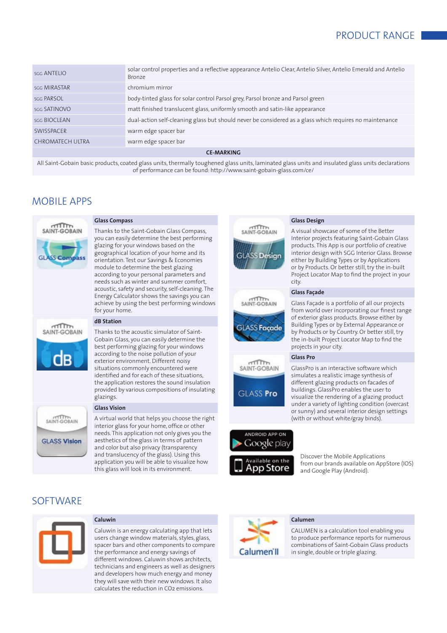| sgg ANTELIO         | solar control properties and a reflective appearance Antelio Clear, Antelio Silver, Antelio Emerald and Antelio<br>Bronze |
|---------------------|---------------------------------------------------------------------------------------------------------------------------|
| <b>SGG MIRASTAR</b> | chromium mirror                                                                                                           |
| <b>SGG PARSOL</b>   | body-tinted glass for solar control Parsol grey, Parsol bronze and Parsol green                                           |
| sgg SATINOVO        | matt finished translucent glass, uniformly smooth and satin-like appearance                                               |
| sgg BIOCLEAN        | dual-action self-cleaning glass but should never be considered as a glass which requires no maintenance                   |
| SWISSPACER          | warm edge spacer bar                                                                                                      |
| CHROMATECH ULTRA    | warm edge spacer bar                                                                                                      |
|                     |                                                                                                                           |

**CE-MARKING**

All Saint-Gobain basic products, coated glass units, thermally toughened glass units, laminated glass units and insulated glass units declarations of performance can be found: http://www.saint-gobain-glass.com/ce/

# MOBILE APPS



### **Glass Compass**

Thanks to the Saint-Gobain Glass Compass, you can easily determine the best performing glazing for your windows based on the geographical location of your home and its orientation. Test our Savings & Economies module to determine the best glazing according to your personal parameters and needs such as winter and summer comfort, acoustic, safety and security, self-cleaning. The Energy Calculator shows the savings you can achieve by using the best performing windows for your home.



SAINT-GORAIN

**GLASS Vision** 

### **dB Station**

Thanks to the acoustic simulator of Saint-Gobain Glass, you can easily determine the best performing glazing for your windows according to the noise pollution of your exterior environment. Different noisy situations commonly encountered were identified and for each of these situations, the application restores the sound insulation provided by various compositions of insulating glazings.

# **Glass Vision**

A virtual world that helps you choose the right interior glass for your home, office or other needs. This application not only gives you the aesthetics of the glass in terms of pattern and color but also privacy (transparency and translucency of the glass). Using this application you will be able to visualize how this glass will look in its environment.

# **SOFTWARE**



### **Caluwin**

Caluwin is an energy calculating app that lets users change window materials, styles, glass, spacer bars and other components to compare the performance and energy savings of different windows. Caluwin shows architects, technicians and engineers as well as designers and developers how much energy and money they will save with their new windows. It also calculates the reduction in CO2 emissions.



### **Glass Design**

A visual showcase of some of the Better Interior projects featuring Saint-Gobain Glass products. This App is our portfolio of creative interior design with SGG Interior Glass. Browse either by Building Types or by Applications or by Products. Or better still, try the in-built Project Locator Map to find the project in your city.

### **Glass Façade**

Glass Façade is a portfolio of all our projects from world over incorporating our finest range of exterior glass products. Browse either by Building Types or by External Appearance or by Products or by Country. Or better still, try the in-built Project Locator Map to find the projects in your city.

#### **Glass Pro**

SAINT-GOBAIN **GLASS Pro** 

GlassPro is an interactive software which simulates a realistic image synthesis of different glazing products on facades of buildings. GlassPro enables the user to visualize the rendering of a glazing product under a variety of lighting condition (overcast or sunny) and several interior design settings (with or without white/gray binds).



Discover the Mobile Applications from our brands available on AppStore (IOS) and Google Play (Android).

#### **Calumen**

CALUMEN is a calculation tool enabling you to produce performance reports for numerous combinations of Saint-Gobain Glass products in single, double or triple glazing.